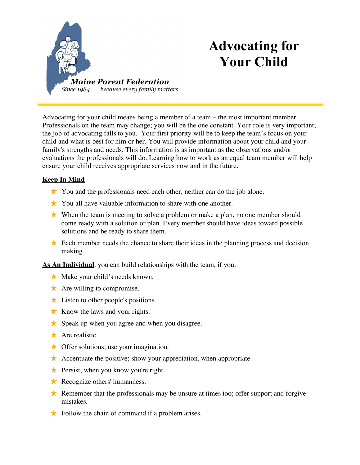

## **Advocating for Your Child**

Advocating for your child means being a member of a team – the most important member. Professionals on the team may change; you will be the one constant. Your role is very important; the job of advocating falls to you. Your first priority will be to keep the team's focus on your child and what is best for him or her. You will provide information about your child and your family's strengths and needs. This information is as important as the observations and/or evaluations the professionals will do. Learning how to work as an equal team member will help ensure your child receives appropriate services now and in the future.

## **Keep In Mind**

- $\star$  You and the professionals need each other, neither can do the job alone.
- $\star$  You all have valuable information to share with one another.
- When the team is meeting to solve a problem or make a plan, no one member should come ready with a solution or plan. Every member should have ideas toward possible solutions and be ready to share them.
- Each member needs the chance to share their ideas in the planning process and decision making.

**As An Individual**, you can build relationships with the team, if you:

- $\star$  Make your child's needs known.
- $\star$  Are willing to compromise.
- $\star$  Listen to other people's positions.
- $\star$  Know the laws and your rights.
- $\star$  Speak up when you agree and when you disagree.
- $\star$  Are realistic.
- $\star$  Offer solutions; use your imagination.
- Accentuate the positive; show your appreciation, when appropriate.
- $\star$  Persist, when you know you're right.
- $\star$  Recognize others' humanness.
- Remember that the professionals may be unsure at times too; offer support and forgive mistakes.
- $\star$  Follow the chain of command if a problem arises.